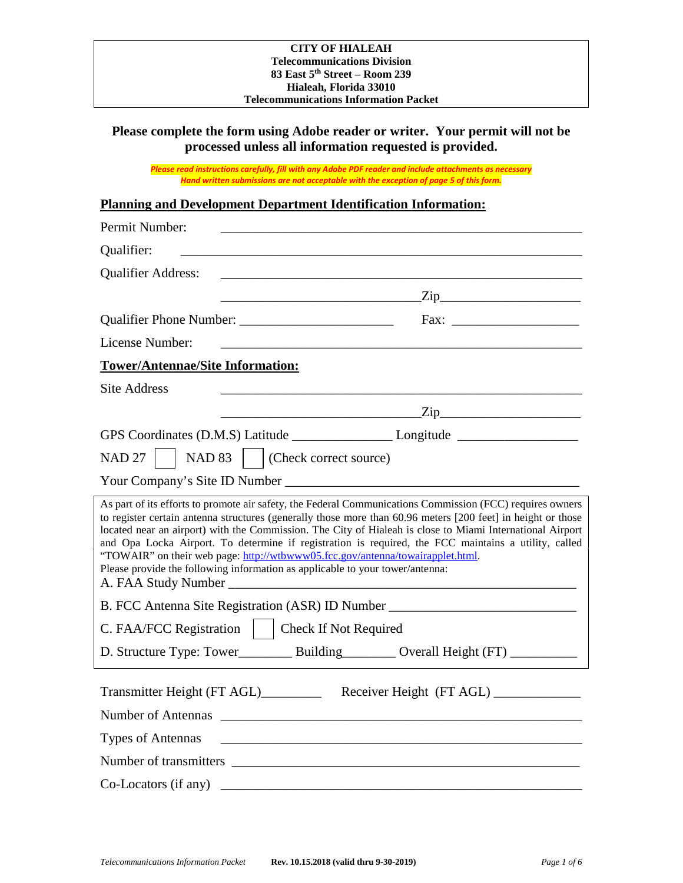## **Please complete the form using Adobe reader or writer. Your permit will not be processed unless all information requested is provided.**

*Please read instructions carefully, fill with any Adobe PDF reader and include attachments as necessary Hand written submissions are not acceptable with the exception of page 5 of this form.*

## **Planning and Development Department Identification Information:**

| Permit Number:                                                                                                                                                                                                                                                                                                                                                                                                                                                                                                                                                                                                    |                                                |  |  |  |
|-------------------------------------------------------------------------------------------------------------------------------------------------------------------------------------------------------------------------------------------------------------------------------------------------------------------------------------------------------------------------------------------------------------------------------------------------------------------------------------------------------------------------------------------------------------------------------------------------------------------|------------------------------------------------|--|--|--|
| Qualifier:                                                                                                                                                                                                                                                                                                                                                                                                                                                                                                                                                                                                        |                                                |  |  |  |
| <b>Qualifier Address:</b>                                                                                                                                                                                                                                                                                                                                                                                                                                                                                                                                                                                         |                                                |  |  |  |
|                                                                                                                                                                                                                                                                                                                                                                                                                                                                                                                                                                                                                   | $\frac{1}{\sqrt{2i}}$                          |  |  |  |
|                                                                                                                                                                                                                                                                                                                                                                                                                                                                                                                                                                                                                   |                                                |  |  |  |
| License Number:                                                                                                                                                                                                                                                                                                                                                                                                                                                                                                                                                                                                   |                                                |  |  |  |
| <b>Tower/Antennae/Site Information:</b>                                                                                                                                                                                                                                                                                                                                                                                                                                                                                                                                                                           |                                                |  |  |  |
| <b>Site Address</b>                                                                                                                                                                                                                                                                                                                                                                                                                                                                                                                                                                                               |                                                |  |  |  |
|                                                                                                                                                                                                                                                                                                                                                                                                                                                                                                                                                                                                                   | $\chi$ ip $\chi$ ip $\chi$ ip $\chi$ ip $\chi$ |  |  |  |
|                                                                                                                                                                                                                                                                                                                                                                                                                                                                                                                                                                                                                   |                                                |  |  |  |
| NAD 27     NAD 83     (Check correct source)                                                                                                                                                                                                                                                                                                                                                                                                                                                                                                                                                                      |                                                |  |  |  |
| Your Company's Site ID Number                                                                                                                                                                                                                                                                                                                                                                                                                                                                                                                                                                                     |                                                |  |  |  |
| As part of its efforts to promote air safety, the Federal Communications Commission (FCC) requires owners<br>to register certain antenna structures (generally those more than 60.96 meters [200 feet] in height or those<br>located near an airport) with the Commission. The City of Hialeah is close to Miami International Airport<br>and Opa Locka Airport. To determine if registration is required, the FCC maintains a utility, called<br>"TOWAIR" on their web page: http://wtbwww05.fcc.gov/antenna/towairapplet.html.<br>Please provide the following information as applicable to your tower/antenna: |                                                |  |  |  |
| B. FCC Antenna Site Registration (ASR) ID Number _______________________________                                                                                                                                                                                                                                                                                                                                                                                                                                                                                                                                  |                                                |  |  |  |
| C. FAA/FCC Registration     Check If Not Required                                                                                                                                                                                                                                                                                                                                                                                                                                                                                                                                                                 |                                                |  |  |  |
|                                                                                                                                                                                                                                                                                                                                                                                                                                                                                                                                                                                                                   |                                                |  |  |  |
| Transmitter Height (FT AGL)______________ Receiver Height (FT AGL)______________<br>Number of Antennas                                                                                                                                                                                                                                                                                                                                                                                                                                                                                                            |                                                |  |  |  |
| <b>Types of Antennas</b>                                                                                                                                                                                                                                                                                                                                                                                                                                                                                                                                                                                          |                                                |  |  |  |
|                                                                                                                                                                                                                                                                                                                                                                                                                                                                                                                                                                                                                   |                                                |  |  |  |
| Co-Locators (if any)<br><u> 2002 - Jan James James Barnett, mars and de la partie de la partie de la partie de la partie de la partie de</u>                                                                                                                                                                                                                                                                                                                                                                                                                                                                      |                                                |  |  |  |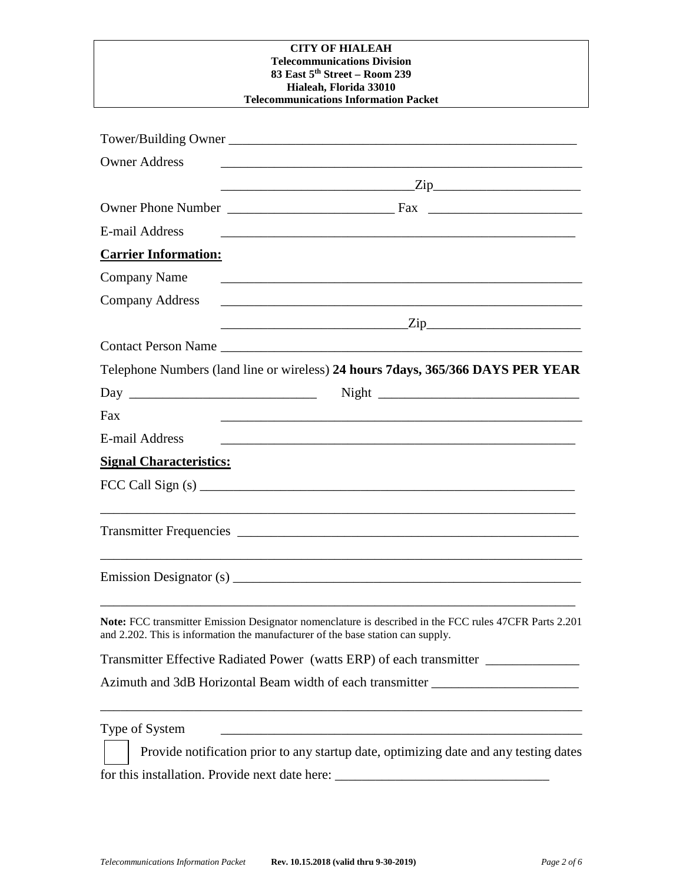| <b>Owner Address</b>           | and the control of the control of the control of the control of the control of the control of the control of the                                                                                                                                                                                                  |
|--------------------------------|-------------------------------------------------------------------------------------------------------------------------------------------------------------------------------------------------------------------------------------------------------------------------------------------------------------------|
|                                |                                                                                                                                                                                                                                                                                                                   |
|                                |                                                                                                                                                                                                                                                                                                                   |
| <b>E-mail Address</b>          |                                                                                                                                                                                                                                                                                                                   |
| <b>Carrier Information:</b>    |                                                                                                                                                                                                                                                                                                                   |
| <b>Company Name</b>            | <u> 1989 - Johann Barbara, martin amerikan basal dan berasal dan berasal dalam basal dan berasal dalam berasal da</u>                                                                                                                                                                                             |
| <b>Company Address</b>         |                                                                                                                                                                                                                                                                                                                   |
|                                | <u> Alexandro Alexandro Alexandro Alexandro Alexandro Alexandro Alexandro Alexandro Alexandro Alexandro Alexandro </u>                                                                                                                                                                                            |
|                                | Contact Person Name                                                                                                                                                                                                                                                                                               |
|                                | Telephone Numbers (land line or wireless) 24 hours 7days, 365/366 DAYS PER YEAR                                                                                                                                                                                                                                   |
|                                |                                                                                                                                                                                                                                                                                                                   |
| Fax                            |                                                                                                                                                                                                                                                                                                                   |
| <b>E-mail Address</b>          |                                                                                                                                                                                                                                                                                                                   |
| <b>Signal Characteristics:</b> |                                                                                                                                                                                                                                                                                                                   |
|                                | FCC Call Sign (s) $\frac{1}{2}$ $\frac{1}{2}$ $\frac{1}{2}$ $\frac{1}{2}$ $\frac{1}{2}$ $\frac{1}{2}$ $\frac{1}{2}$ $\frac{1}{2}$ $\frac{1}{2}$ $\frac{1}{2}$ $\frac{1}{2}$ $\frac{1}{2}$ $\frac{1}{2}$ $\frac{1}{2}$ $\frac{1}{2}$ $\frac{1}{2}$ $\frac{1}{2}$ $\frac{1}{2}$ $\frac{1}{2}$ $\frac{1}{2}$ $\frac$ |
|                                |                                                                                                                                                                                                                                                                                                                   |
|                                |                                                                                                                                                                                                                                                                                                                   |
|                                |                                                                                                                                                                                                                                                                                                                   |
|                                |                                                                                                                                                                                                                                                                                                                   |
|                                |                                                                                                                                                                                                                                                                                                                   |
|                                | Note: FCC transmitter Emission Designator nomenclature is described in the FCC rules 47CFR Parts 2.201<br>and 2.202. This is information the manufacturer of the base station can supply.                                                                                                                         |
|                                | Transmitter Effective Radiated Power (watts ERP) of each transmitter ____________                                                                                                                                                                                                                                 |
|                                | Azimuth and 3dB Horizontal Beam width of each transmitter ______________________                                                                                                                                                                                                                                  |
| Type of System                 | the control of the control of the control of the control of the control of the control of                                                                                                                                                                                                                         |
|                                | Provide notification prior to any startup date, optimizing date and any testing dates                                                                                                                                                                                                                             |

for this installation. Provide next date here: \_\_\_\_\_\_\_\_\_\_\_\_\_\_\_\_\_\_\_\_\_\_\_\_\_\_\_\_\_\_\_\_\_\_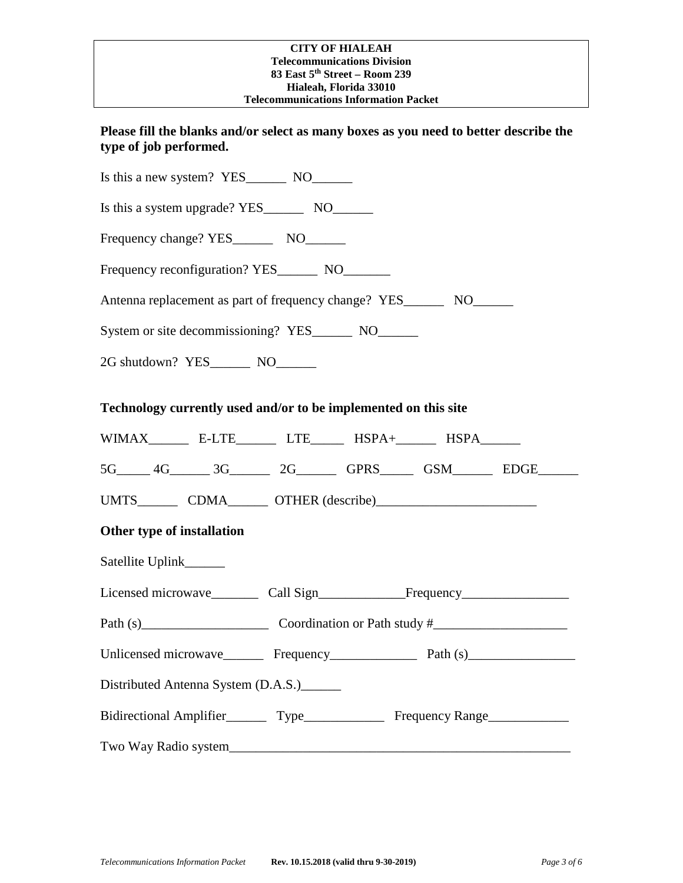## **Please fill the blanks and/or select as many boxes as you need to better describe the type of job performed.**

| Technology currently used and/or to be implemented on this site                   |  |  |  |  |  |
|-----------------------------------------------------------------------------------|--|--|--|--|--|
| WIMAX__________ E-LTE__________ LTE________ HSPA+________ HSPA________            |  |  |  |  |  |
| 5G_____ 4G_______ 3G_______ 2G_______ GPRS______ GSM_______ EDGE______            |  |  |  |  |  |
|                                                                                   |  |  |  |  |  |
| Other type of installation                                                        |  |  |  |  |  |
| Satellite Uplink_______                                                           |  |  |  |  |  |
|                                                                                   |  |  |  |  |  |
| Path (s) Coordination or Path study $\#$                                          |  |  |  |  |  |
|                                                                                   |  |  |  |  |  |
| Distributed Antenna System (D.A.S.)                                               |  |  |  |  |  |
| Bidirectional Amplifier__________ Type_________________ Frequency Range__________ |  |  |  |  |  |
|                                                                                   |  |  |  |  |  |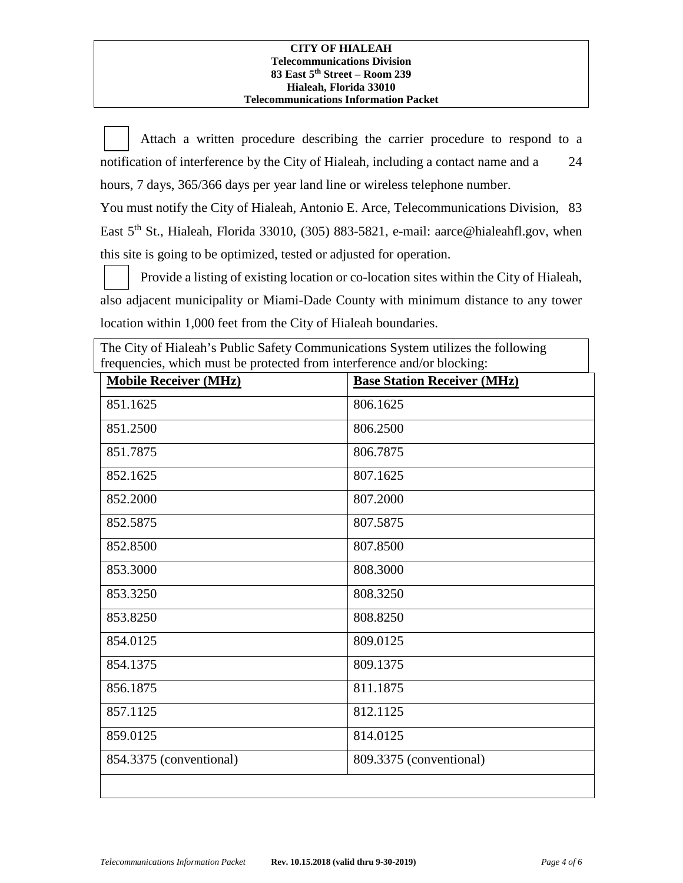Attach a written procedure describing the carrier procedure to respond to a notification of interference by the City of Hialeah, including a contact name and a 24 hours, 7 days, 365/366 days per year land line or wireless telephone number.

You must notify the City of Hialeah, Antonio E. Arce, Telecommunications Division, 83 East 5<sup>th</sup> St., Hialeah, Florida 33010, (305) 883-5821, e-mail: aarce@hialeahfl.gov, when this site is going to be optimized, tested or adjusted for operation.

Provide a listing of existing location or co-location sites within the City of Hialeah, also adjacent municipality or Miami-Dade County with minimum distance to any tower location within 1,000 feet from the City of Hialeah boundaries.

| The City of Hialeah's Public Safety Communications System utilizes the following<br>frequencies, which must be protected from interference and/or blocking: |                                    |  |
|-------------------------------------------------------------------------------------------------------------------------------------------------------------|------------------------------------|--|
| <b>Mobile Receiver (MHz)</b>                                                                                                                                | <b>Base Station Receiver (MHz)</b> |  |
| 851.1625                                                                                                                                                    | 806.1625                           |  |
| 851.2500                                                                                                                                                    | 806.2500                           |  |
| 851.7875                                                                                                                                                    | 806.7875                           |  |
| 852.1625                                                                                                                                                    | 807.1625                           |  |
| 852.2000                                                                                                                                                    | 807.2000                           |  |
| 852.5875                                                                                                                                                    | 807.5875                           |  |
| 852.8500                                                                                                                                                    | 807.8500                           |  |
| 853.3000                                                                                                                                                    | 808.3000                           |  |
| 853.3250                                                                                                                                                    | 808.3250                           |  |
| 853.8250                                                                                                                                                    | 808.8250                           |  |
| 854.0125                                                                                                                                                    | 809.0125                           |  |
| 854.1375                                                                                                                                                    | 809.1375                           |  |
| 856.1875                                                                                                                                                    | 811.1875                           |  |
| 857.1125                                                                                                                                                    | 812.1125                           |  |
| 859.0125                                                                                                                                                    | 814.0125                           |  |
| 854.3375 (conventional)                                                                                                                                     | 809.3375 (conventional)            |  |
|                                                                                                                                                             |                                    |  |

*Telecommunications Information Packet* **Rev. 10.15.2018 (valid thru 9-30-2019)** *Page 4 of 6*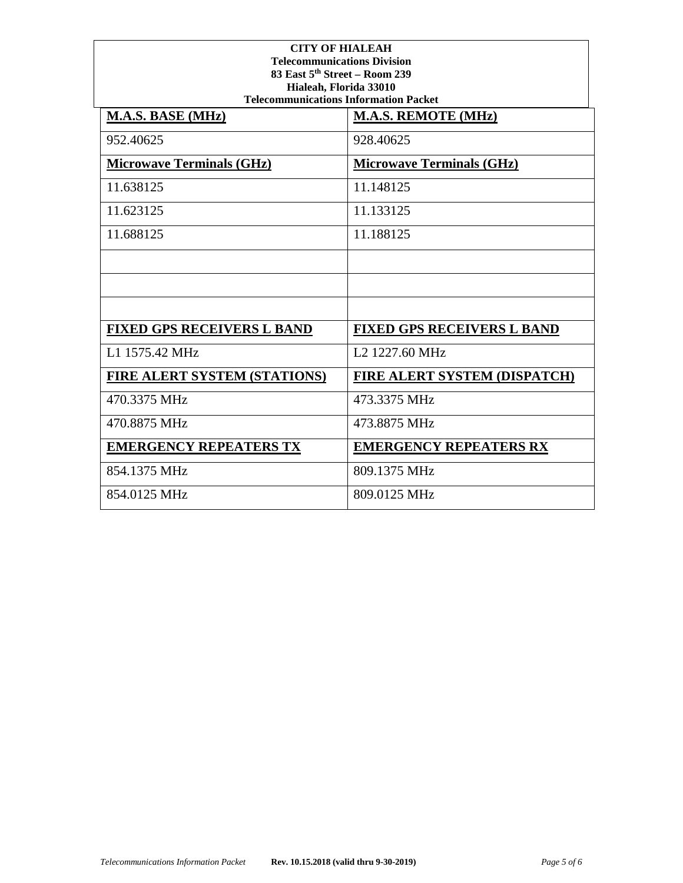| <b>CITY OF HIALEAH</b><br><b>Telecommunications Division</b><br>83 East 5th Street - Room 239<br>Hialeah, Florida 33010<br><b>Telecommunications Information Packet</b> |                                     |  |  |
|-------------------------------------------------------------------------------------------------------------------------------------------------------------------------|-------------------------------------|--|--|
| M.A.S. BASE (MHz)                                                                                                                                                       | <b>M.A.S. REMOTE (MHz)</b>          |  |  |
| 952.40625                                                                                                                                                               | 928.40625                           |  |  |
| <b>Microwave Terminals (GHz)</b>                                                                                                                                        | <b>Microwave Terminals (GHz)</b>    |  |  |
| 11.638125                                                                                                                                                               | 11.148125                           |  |  |
| 11.623125                                                                                                                                                               | 11.133125                           |  |  |
| 11.688125                                                                                                                                                               | 11.188125                           |  |  |
|                                                                                                                                                                         |                                     |  |  |
|                                                                                                                                                                         |                                     |  |  |
|                                                                                                                                                                         |                                     |  |  |
| <b>FIXED GPS RECEIVERS L BAND</b>                                                                                                                                       | <b>FIXED GPS RECEIVERS L BAND</b>   |  |  |
| L1 1575.42 MHz                                                                                                                                                          | L <sub>2</sub> 1227.60 MHz          |  |  |
| <b>FIRE ALERT SYSTEM (STATIONS)</b>                                                                                                                                     | <b>FIRE ALERT SYSTEM (DISPATCH)</b> |  |  |
| 470.3375 MHz                                                                                                                                                            | 473.3375 MHz                        |  |  |
| 470.8875 MHz                                                                                                                                                            | 473.8875 MHz                        |  |  |
| <b>EMERGENCY REPEATERS TX</b>                                                                                                                                           | <b>EMERGENCY REPEATERS RX</b>       |  |  |
| 854.1375 MHz                                                                                                                                                            | 809.1375 MHz                        |  |  |
| 854.0125 MHz                                                                                                                                                            | 809.0125 MHz                        |  |  |